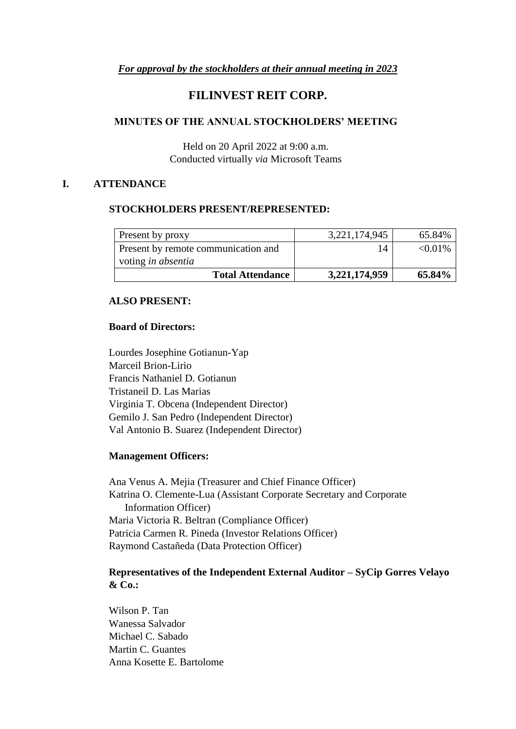### *For approval by the stockholders at their annual meeting in 2023*

# **FILINVEST REIT CORP.**

#### **MINUTES OF THE ANNUAL STOCKHOLDERS' MEETING**

Held on 20 April 2022 at 9:00 a.m. Conducted virtually *via* Microsoft Teams

#### **I. ATTENDANCE**

#### **STOCKHOLDERS PRESENT/REPRESENTED:**

| Present by proxy                    | 3,221,174,945 | 65.84%     |
|-------------------------------------|---------------|------------|
| Present by remote communication and | 14            | $< 0.01\%$ |
| voting <i>in absentia</i>           |               |            |
| <b>Total Attendance</b>             | 3,221,174,959 | 65.84%     |

#### **ALSO PRESENT:**

#### **Board of Directors:**

Lourdes Josephine Gotianun-Yap Marceil Brion-Lirio Francis Nathaniel D. Gotianun Tristaneil D. Las Marias Virginia T. Obcena (Independent Director) Gemilo J. San Pedro (Independent Director) Val Antonio B. Suarez (Independent Director)

#### **Management Officers:**

Ana Venus A. Mejia (Treasurer and Chief Finance Officer) Katrina O. Clemente-Lua (Assistant Corporate Secretary and Corporate Information Officer) Maria Victoria R. Beltran (Compliance Officer) Patricia Carmen R. Pineda (Investor Relations Officer) Raymond Castañeda (Data Protection Officer)

### **Representatives of the Independent External Auditor – SyCip Gorres Velayo & Co.:**

Wilson P. Tan Wanessa Salvador Michael C. Sabado Martin C. Guantes Anna Kosette E. Bartolome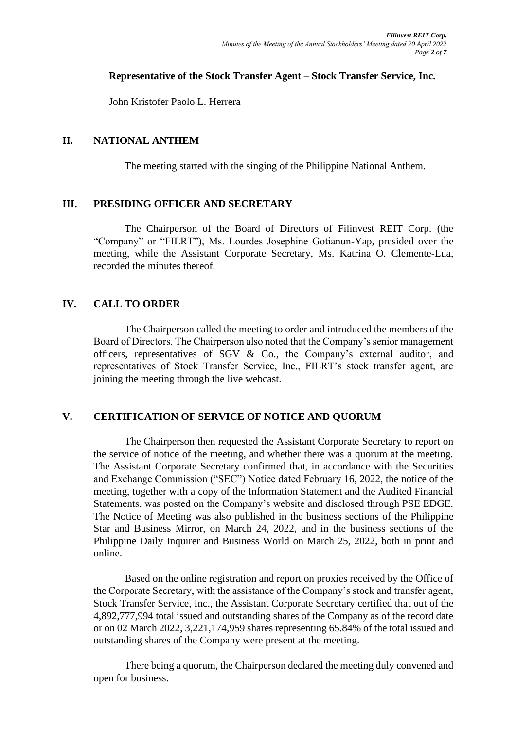#### **Representative of the Stock Transfer Agent – Stock Transfer Service, Inc.**

John Kristofer Paolo L. Herrera

# **II. NATIONAL ANTHEM**

The meeting started with the singing of the Philippine National Anthem.

# **III. PRESIDING OFFICER AND SECRETARY**

The Chairperson of the Board of Directors of Filinvest REIT Corp. (the "Company" or "FILRT"), Ms. Lourdes Josephine Gotianun-Yap, presided over the meeting, while the Assistant Corporate Secretary, Ms. Katrina O. Clemente-Lua, recorded the minutes thereof.

# **IV. CALL TO ORDER**

The Chairperson called the meeting to order and introduced the members of the Board of Directors. The Chairperson also noted that the Company's senior management officers, representatives of SGV & Co., the Company's external auditor, and representatives of Stock Transfer Service, Inc., FILRT's stock transfer agent, are joining the meeting through the live webcast.

# **V. CERTIFICATION OF SERVICE OF NOTICE AND QUORUM**

The Chairperson then requested the Assistant Corporate Secretary to report on the service of notice of the meeting, and whether there was a quorum at the meeting. The Assistant Corporate Secretary confirmed that, in accordance with the Securities and Exchange Commission ("SEC") Notice dated February 16, 2022, the notice of the meeting, together with a copy of the Information Statement and the Audited Financial Statements, was posted on the Company's website and disclosed through PSE EDGE. The Notice of Meeting was also published in the business sections of the Philippine Star and Business Mirror, on March 24, 2022, and in the business sections of the Philippine Daily Inquirer and Business World on March 25, 2022, both in print and online.

Based on the online registration and report on proxies received by the Office of the Corporate Secretary, with the assistance of the Company's stock and transfer agent, Stock Transfer Service, Inc., the Assistant Corporate Secretary certified that out of the 4,892,777,994 total issued and outstanding shares of the Company as of the record date or on 02 March 2022, 3,221,174,959 shares representing 65.84% of the total issued and outstanding shares of the Company were present at the meeting.

There being a quorum, the Chairperson declared the meeting duly convened and open for business.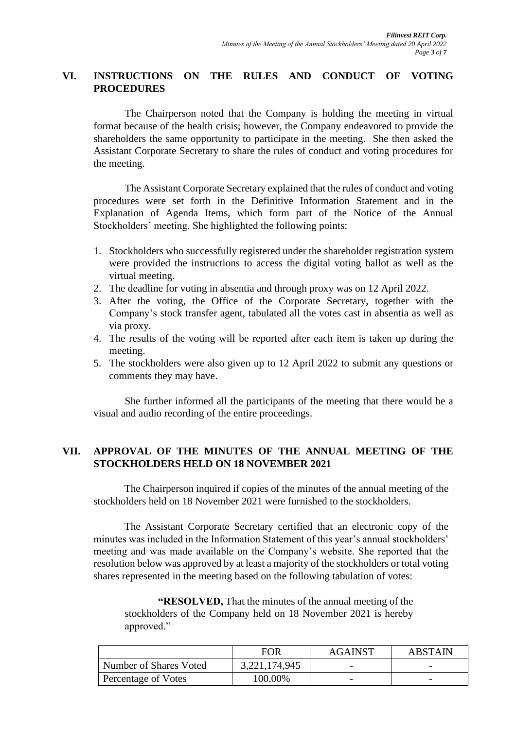# **VI. INSTRUCTIONS ON THE RULES AND CONDUCT OF VOTING PROCEDURES**

The Chairperson noted that the Company is holding the meeting in virtual format because of the health crisis; however, the Company endeavored to provide the shareholders the same opportunity to participate in the meeting. She then asked the Assistant Corporate Secretary to share the rules of conduct and voting procedures for the meeting.

The Assistant Corporate Secretary explained that the rules of conduct and voting procedures were set forth in the Definitive Information Statement and in the Explanation of Agenda Items, which form part of the Notice of the Annual Stockholders' meeting. She highlighted the following points:

- 1. Stockholders who successfully registered under the shareholder registration system were provided the instructions to access the digital voting ballot as well as the virtual meeting.
- 2. The deadline for voting in absentia and through proxy was on 12 April 2022.
- 3. After the voting, the Office of the Corporate Secretary, together with the Company's stock transfer agent, tabulated all the votes cast in absentia as well as via proxy.
- 4. The results of the voting will be reported after each item is taken up during the meeting.
- 5. The stockholders were also given up to 12 April 2022 to submit any questions or comments they may have.

She further informed all the participants of the meeting that there would be a visual and audio recording of the entire proceedings.

# **VII. APPROVAL OF THE MINUTES OF THE ANNUAL MEETING OF THE STOCKHOLDERS HELD ON 18 NOVEMBER 2021**

The Chairperson inquired if copies of the minutes of the annual meeting of the stockholders held on 18 November 2021 were furnished to the stockholders.

The Assistant Corporate Secretary certified that an electronic copy of the minutes was included in the Information Statement of this year's annual stockholders' meeting and was made available on the Company's website. She reported that the resolution below was approved by at least a majority of the stockholders or total voting shares represented in the meeting based on the following tabulation of votes:

**"RESOLVED,** That the minutes of the annual meeting of the stockholders of the Company held on 18 November 2021 is hereby approved."

|                        | FOR           | <b>AGAINST</b>           | <b>ABSTAIN</b>           |
|------------------------|---------------|--------------------------|--------------------------|
| Number of Shares Voted | 3,221,174,945 | $\overline{\phantom{0}}$ | $\overline{\phantom{0}}$ |
| Percentage of Votes    | 100.00%       | $\overline{\phantom{0}}$ | $\overline{\phantom{0}}$ |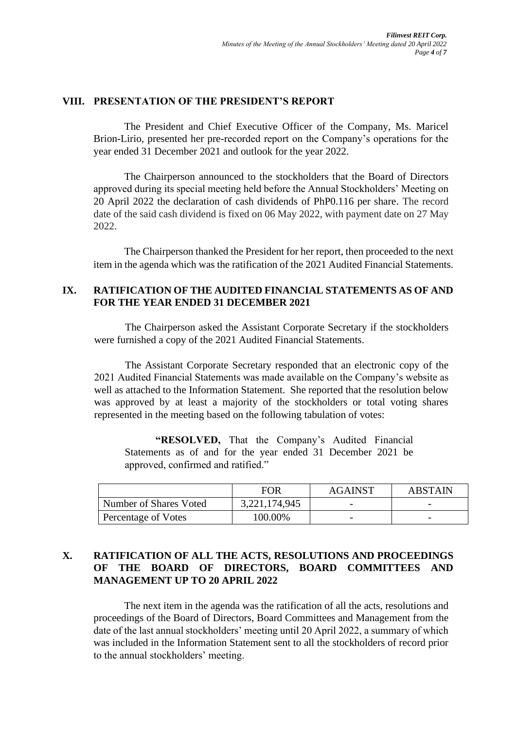### **VIII. PRESENTATION OF THE PRESIDENT'S REPORT**

The President and Chief Executive Officer of the Company, Ms. Maricel Brion-Lirio, presented her pre-recorded report on the Company's operations for the year ended 31 December 2021 and outlook for the year 2022.

The Chairperson announced to the stockholders that the Board of Directors approved during its special meeting held before the Annual Stockholders' Meeting on 20 April 2022 the declaration of cash dividends of PhP0.116 per share. The record date of the said cash dividend is fixed on 06 May 2022, with payment date on 27 May 2022.

The Chairperson thanked the President for her report, then proceeded to the next item in the agenda which was the ratification of the 2021 Audited Financial Statements.

#### **IX. RATIFICATION OF THE AUDITED FINANCIAL STATEMENTS AS OF AND FOR THE YEAR ENDED 31 DECEMBER 2021**

The Chairperson asked the Assistant Corporate Secretary if the stockholders were furnished a copy of the 2021 Audited Financial Statements.

The Assistant Corporate Secretary responded that an electronic copy of the 2021 Audited Financial Statements was made available on the Company's website as well as attached to the Information Statement. She reported that the resolution below was approved by at least a majority of the stockholders or total voting shares represented in the meeting based on the following tabulation of votes:

**"RESOLVED,** That the Company's Audited Financial Statements as of and for the year ended 31 December 2021 be approved, confirmed and ratified."

|                        | FOR           | <b>AGAINST</b>           | <b>ABSTAIN</b>           |
|------------------------|---------------|--------------------------|--------------------------|
| Number of Shares Voted | 3,221,174,945 | $\overline{\phantom{0}}$ |                          |
| Percentage of Votes    | 100.00%       | $\overline{\phantom{0}}$ | $\overline{\phantom{0}}$ |

# **X. RATIFICATION OF ALL THE ACTS, RESOLUTIONS AND PROCEEDINGS OF THE BOARD OF DIRECTORS, BOARD COMMITTEES AND MANAGEMENT UP TO 20 APRIL 2022**

The next item in the agenda was the ratification of all the acts, resolutions and proceedings of the Board of Directors, Board Committees and Management from the date of the last annual stockholders' meeting until 20 April 2022, a summary of which was included in the Information Statement sent to all the stockholders of record prior to the annual stockholders' meeting.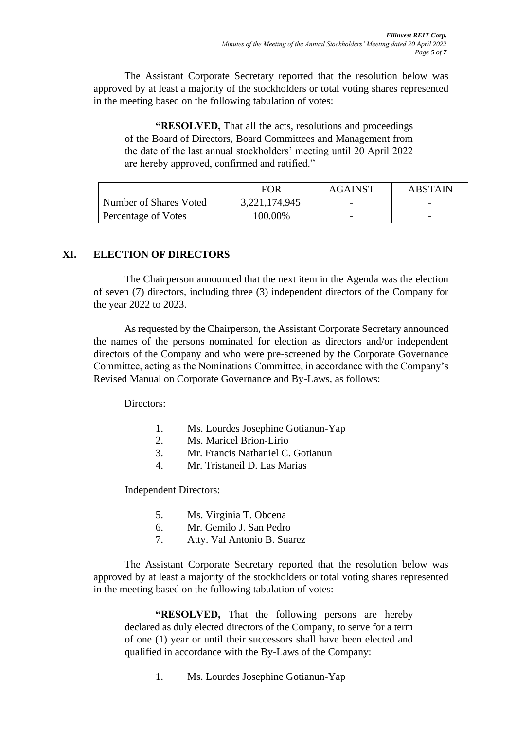The Assistant Corporate Secretary reported that the resolution below was approved by at least a majority of the stockholders or total voting shares represented in the meeting based on the following tabulation of votes:

**"RESOLVED,** That all the acts, resolutions and proceedings of the Board of Directors, Board Committees and Management from the date of the last annual stockholders' meeting until 20 April 2022 are hereby approved, confirmed and ratified."

|                        | <b>FOR</b>    | <b>AGAINST</b>           | <b>ABSTAIN</b>           |
|------------------------|---------------|--------------------------|--------------------------|
| Number of Shares Voted | 3,221,174,945 | $\overline{\phantom{0}}$ | $\overline{\phantom{0}}$ |
| Percentage of Votes    | 100.00%       | $\overline{\phantom{0}}$ |                          |

# **XI. ELECTION OF DIRECTORS**

The Chairperson announced that the next item in the Agenda was the election of seven (7) directors, including three (3) independent directors of the Company for the year 2022 to 2023.

As requested by the Chairperson, the Assistant Corporate Secretary announced the names of the persons nominated for election as directors and/or independent directors of the Company and who were pre-screened by the Corporate Governance Committee, acting as the Nominations Committee, in accordance with the Company's Revised Manual on Corporate Governance and By-Laws, as follows:

Directors:

- 1. Ms. Lourdes Josephine Gotianun-Yap
- 2. Ms. Maricel Brion-Lirio
- 3. Mr. Francis Nathaniel C. Gotianun
- 4. Mr. Tristaneil D. Las Marias

Independent Directors:

- 5. Ms. Virginia T. Obcena
- 6. Mr. Gemilo J. San Pedro
- 7. Atty. Val Antonio B. Suarez

The Assistant Corporate Secretary reported that the resolution below was approved by at least a majority of the stockholders or total voting shares represented in the meeting based on the following tabulation of votes:

**"RESOLVED,** That the following persons are hereby declared as duly elected directors of the Company, to serve for a term of one (1) year or until their successors shall have been elected and qualified in accordance with the By-Laws of the Company:

1. Ms. Lourdes Josephine Gotianun-Yap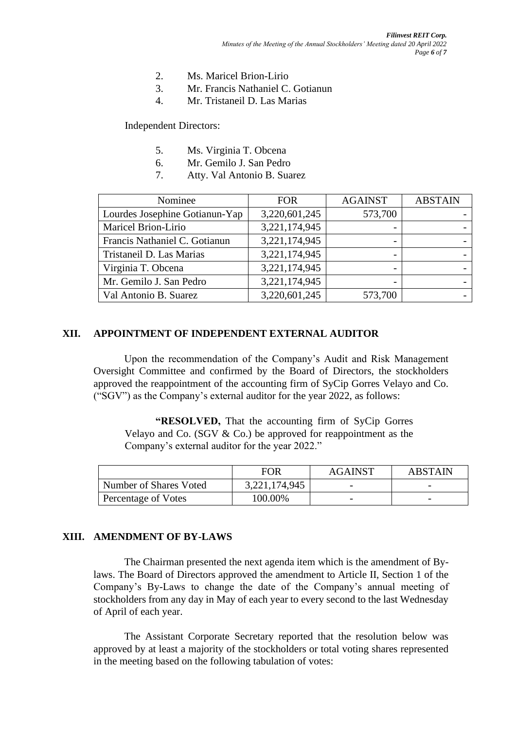- 2. Ms. Maricel Brion-Lirio
- 3. Mr. Francis Nathaniel C. Gotianun
- 4. Mr. Tristaneil D. Las Marias

Independent Directors:

- 5. Ms. Virginia T. Obcena
- 6. Mr. Gemilo J. San Pedro
- 7. Atty. Val Antonio B. Suarez

| Nominee                        | <b>FOR</b>    | <b>AGAINST</b>           | <b>ABSTAIN</b> |
|--------------------------------|---------------|--------------------------|----------------|
| Lourdes Josephine Gotianun-Yap | 3,220,601,245 | 573,700                  |                |
| Maricel Brion-Lirio            | 3,221,174,945 |                          |                |
| Francis Nathaniel C. Gotianun  | 3,221,174,945 |                          |                |
| Tristaneil D. Las Marias       | 3,221,174,945 | $\overline{\phantom{0}}$ |                |
| Virginia T. Obcena             | 3,221,174,945 | $\overline{\phantom{0}}$ |                |
| Mr. Gemilo J. San Pedro        | 3,221,174,945 | $\overline{\phantom{0}}$ |                |
| Val Antonio B. Suarez          | 3,220,601,245 | 573,700                  |                |

#### **XII. APPOINTMENT OF INDEPENDENT EXTERNAL AUDITOR**

Upon the recommendation of the Company's Audit and Risk Management Oversight Committee and confirmed by the Board of Directors, the stockholders approved the reappointment of the accounting firm of SyCip Gorres Velayo and Co. ("SGV") as the Company's external auditor for the year 2022, as follows:

**"RESOLVED,** That the accounting firm of SyCip Gorres Velayo and Co. (SGV & Co.) be approved for reappointment as the Company's external auditor for the year 2022."

|                        | <b>FOR</b>    | <b>AGAINST</b> | <b>ABSTAIN</b> |
|------------------------|---------------|----------------|----------------|
| Number of Shares Voted | 3,221,174,945 |                |                |
| Percentage of Votes    | 100.00%       |                |                |

#### **XIII. AMENDMENT OF BY-LAWS**

The Chairman presented the next agenda item which is the amendment of Bylaws. The Board of Directors approved the amendment to Article II, Section 1 of the Company's By-Laws to change the date of the Company's annual meeting of stockholders from any day in May of each year to every second to the last Wednesday of April of each year.

The Assistant Corporate Secretary reported that the resolution below was approved by at least a majority of the stockholders or total voting shares represented in the meeting based on the following tabulation of votes: